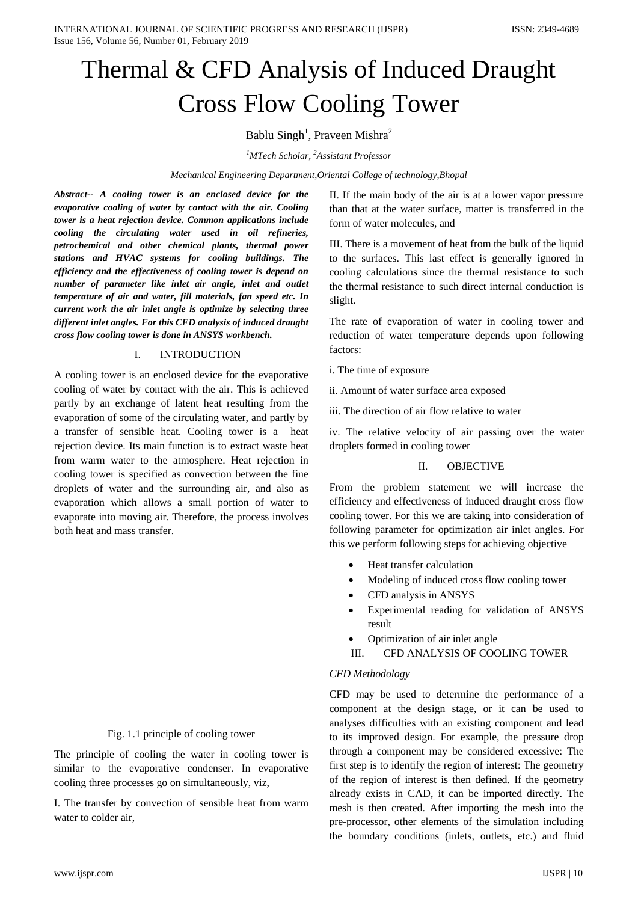# Thermal & CFD Analysis of Induced Draught Cross Flow Cooling Tower

# Bablu Singh<sup>1</sup>, Praveen Mishra<sup>2</sup>

*1 MTech Scholar, <sup>2</sup> Assistant Professor*

### *Mechanical Engineering Department,Oriental College of technology,Bhopal*

*Abstract-- A cooling tower is an enclosed device for the evaporative cooling of water by contact with the air. Cooling tower is a heat rejection device. Common applications include cooling the circulating water used in oil refineries, petrochemical and other chemical plants, thermal power stations and HVAC systems for cooling buildings. The efficiency and the effectiveness of cooling tower is depend on number of parameter like inlet air angle, inlet and outlet temperature of air and water, fill materials, fan speed etc. In current work the air inlet angle is optimize by selecting three different inlet angles. For this CFD analysis of induced draught cross flow cooling tower is done in ANSYS workbench.*

## I. INTRODUCTION

A cooling tower is an enclosed device for the evaporative cooling of water by contact with the air. This is achieved partly by an exchange of latent heat resulting from the evaporation of some of the circulating water, and partly by a transfer of sensible heat. Cooling tower is a heat rejection device. Its main function is to extract waste heat from warm water to the atmosphere. Heat rejection in cooling tower is specified as convection between the fine droplets of water and the surrounding air, and also as evaporation which allows a small portion of water to evaporate into moving air. Therefore, the process involves both heat and mass transfer.

## Fig. 1.1 principle of cooling tower

The principle of cooling the water in cooling tower is similar to the evaporative condenser. In evaporative cooling three processes go on simultaneously, viz,

I. The transfer by convection of sensible heat from warm water to colder air,

II. If the main body of the air is at a lower vapor pressure than that at the water surface, matter is transferred in the form of water molecules, and

III. There is a movement of heat from the bulk of the liquid to the surfaces. This last effect is generally ignored in cooling calculations since the thermal resistance to such the thermal resistance to such direct internal conduction is slight.

The rate of evaporation of water in cooling tower and reduction of water temperature depends upon following factors:

i. The time of exposure

ii. Amount of water surface area exposed

iii. The direction of air flow relative to water

iv. The relative velocity of air passing over the water droplets formed in cooling tower

## II. OBJECTIVE

From the problem statement we will increase the efficiency and effectiveness of induced draught cross flow cooling tower. For this we are taking into consideration of following parameter for optimization air inlet angles. For this we perform following steps for achieving objective

- Heat transfer calculation
- Modeling of induced cross flow cooling tower
- CFD analysis in ANSYS
- Experimental reading for validation of ANSYS result
- Optimization of air inlet angle
- III. CFD ANALYSIS OF COOLING TOWER

## *CFD Methodology*

CFD may be used to determine the performance of a component at the design stage, or it can be used to analyses difficulties with an existing component and lead to its improved design. For example, the pressure drop through a component may be considered excessive: The first step is to identify the region of interest: The geometry of the region of interest is then defined. If the geometry already exists in CAD, it can be imported directly. The mesh is then created. After importing the mesh into the pre-processor, other elements of the simulation including the boundary conditions (inlets, outlets, etc.) and fluid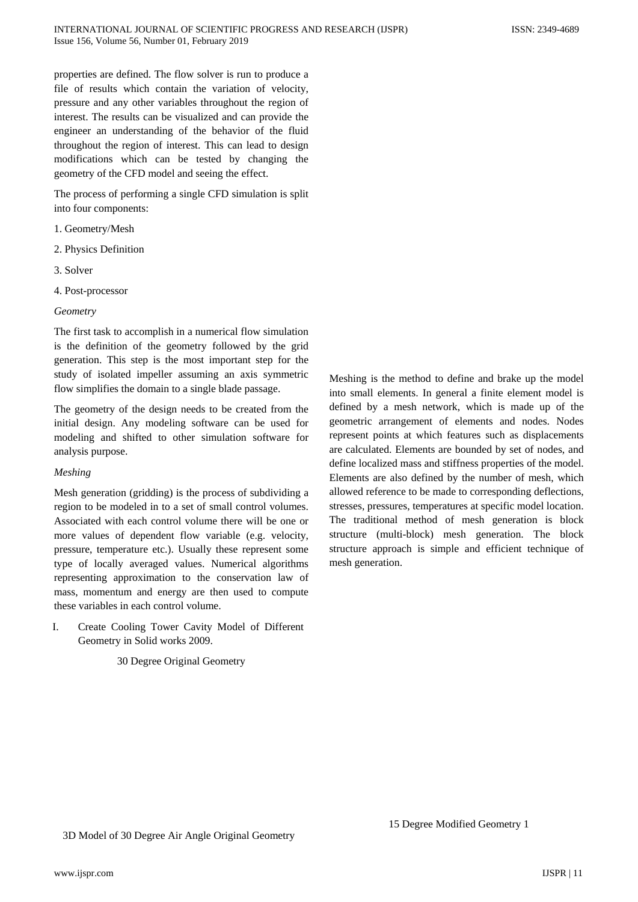properties are defined. The flow solver is run to produce a file of results which contain the variation of velocity, pressure and any other variables throughout the region of interest. The results can be visualized and can provide the engineer an understanding of the behavior of the fluid throughout the region of interest. This can lead to design modifications which can be tested by changing the geometry of the CFD model and seeing the effect.

The process of performing a single CFD simulation is split into four components:

- 1. Geometry/Mesh
- 2. Physics Definition
- 3. Solver
- 4. Post-processor

### *Geometry*

The first task to accomplish in a numerical flow simulation is the definition of the geometry followed by the grid generation. This step is the most important step for the study of isolated impeller assuming an axis symmetric flow simplifies the domain to a single blade passage.

The geometry of the design needs to be created from the initial design. Any modeling software can be used for modeling and shifted to other simulation software for analysis purpose.

### *Meshing*

Mesh generation (gridding) is the process of subdividing a region to be modeled in to a set of small control volumes. Associated with each control volume there will be one or more values of dependent flow variable (e.g. velocity, pressure, temperature etc.). Usually these represent some type of locally averaged values. Numerical algorithms representing approximation to the conservation law of mass, momentum and energy are then used to compute these variables in each control volume.

I. Create Cooling Tower Cavity Model of Different Geometry in Solid works 2009.

## 30 Degree Original Geometry

Meshing is the method to define and brake up the model into small elements. In general a finite element model is defined by a mesh network, which is made up of the geometric arrangement of elements and nodes. Nodes represent points at which features such as displacements are calculated. Elements are bounded by set of nodes, and define localized mass and stiffness properties of the model. Elements are also defined by the number of mesh, which allowed reference to be made to corresponding deflections, stresses, pressures, temperatures at specific model location. The traditional method of mesh generation is block structure (multi-block) mesh generation. The block structure approach is simple and efficient technique of mesh generation.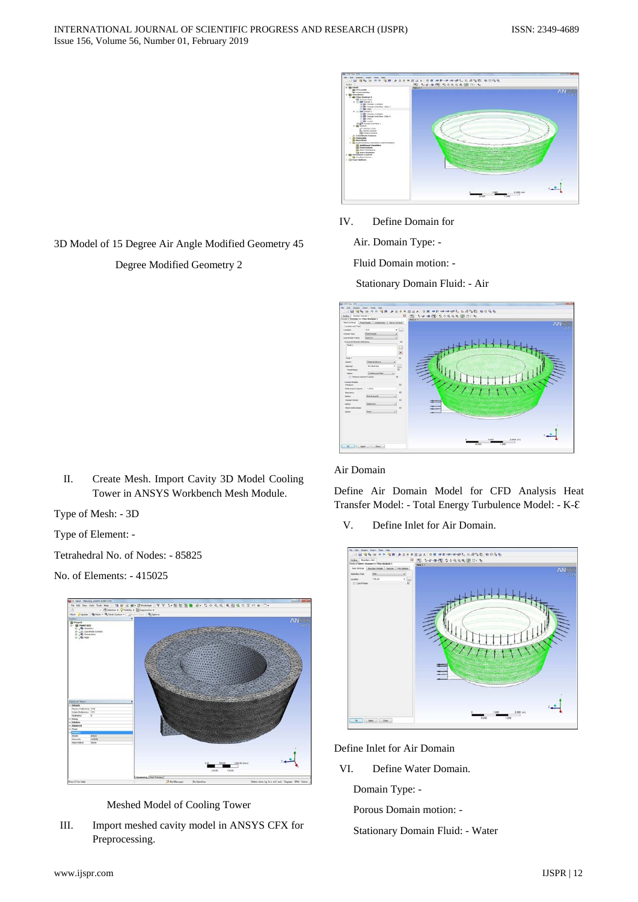

IV. Define Domain for

Air. Domain Type: -

Fluid Domain motion: -

Stationary Domain Fluid: - Air



### Air Domain

Define Air Domain Model for CFD Analysis Heat Transfer Model: - Total Energy Turbulence Model: - K-Ɛ

V. Define Inlet for Air Domain.



Define Inlet for Air Domain

VI. Define Water Domain.

Domain Type: -

Porous Domain motion: -

Stationary Domain Fluid: - Water

3D Model of 15 Degree Air Angle Modified Geometry 45 Degree Modified Geometry 2

II. Create Mesh. Import Cavity 3D Model Cooling Tower in ANSYS Workbench Mesh Module.

Type of Mesh: - 3D

Type of Element: -

Tetrahedral No. of Nodes: - 85825

No. of Elements: - 415025



Meshed Model of Cooling Tower

III. Import meshed cavity model in ANSYS CFX for Preprocessing.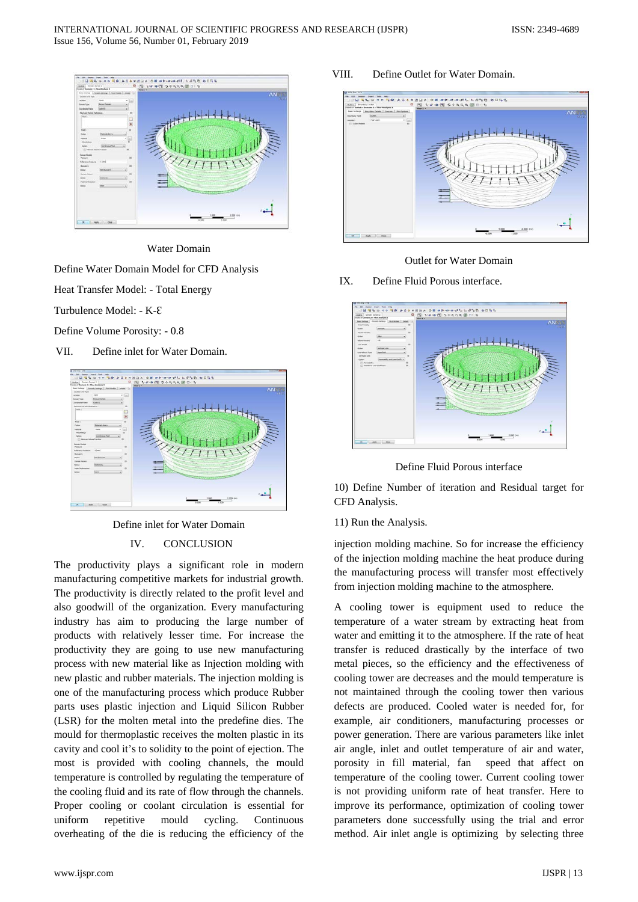

Water Domain

Define Water Domain Model for CFD Analysis

Heat Transfer Model: - Total Energy

Turbulence Model: - K-E

Define Volume Porosity: - 0.8

VII. Define inlet for Water Domain.



Define inlet for Water Domain

## IV. CONCLUSION

The productivity plays a significant role in modern manufacturing competitive markets for industrial growth. The productivity is directly related to the profit level and also goodwill of the organization. Every manufacturing industry has aim to producing the large number of products with relatively lesser time. For increase the productivity they are going to use new manufacturing process with new material like as Injection molding with new plastic and rubber materials. The injection molding is one of the manufacturing process which produce Rubber parts uses plastic injection and Liquid Silicon Rubber (LSR) for the molten metal into the predefine dies. The mould for thermoplastic receives the molten plastic in its cavity and cool it's to solidity to the point of ejection. The most is provided with cooling channels, the mould temperature is controlled by regulating the temperature of the cooling fluid and its rate of flow through the channels. Proper cooling or coolant circulation is essential for uniform repetitive mould cycling. Continuous overheating of the die is reducing the efficiency of the

### VIII. Define Outlet for Water Domain.



#### Outlet for Water Domain

## IX. Define Fluid Porous interface.



Define Fluid Porous interface

10) Define Number of iteration and Residual target for CFD Analysis.

#### 11) Run the Analysis.

injection molding machine. So for increase the efficiency of the injection molding machine the heat produce during the manufacturing process will transfer most effectively from injection molding machine to the atmosphere.

A cooling tower is equipment used to reduce the temperature of a water stream by extracting heat from water and emitting it to the atmosphere. If the rate of heat transfer is reduced drastically by the interface of two metal pieces, so the efficiency and the effectiveness of cooling tower are decreases and the mould temperature is not maintained through the cooling tower then various defects are produced. Cooled water is needed for, for example, air conditioners, manufacturing processes or power generation. There are various parameters like inlet air angle, inlet and outlet temperature of air and water, porosity in fill material, fan speed that affect on temperature of the cooling tower. Current cooling tower is not providing uniform rate of heat transfer. Here to improve its performance, optimization of cooling tower parameters done successfully using the trial and error method. Air inlet angle is optimizing by selecting three